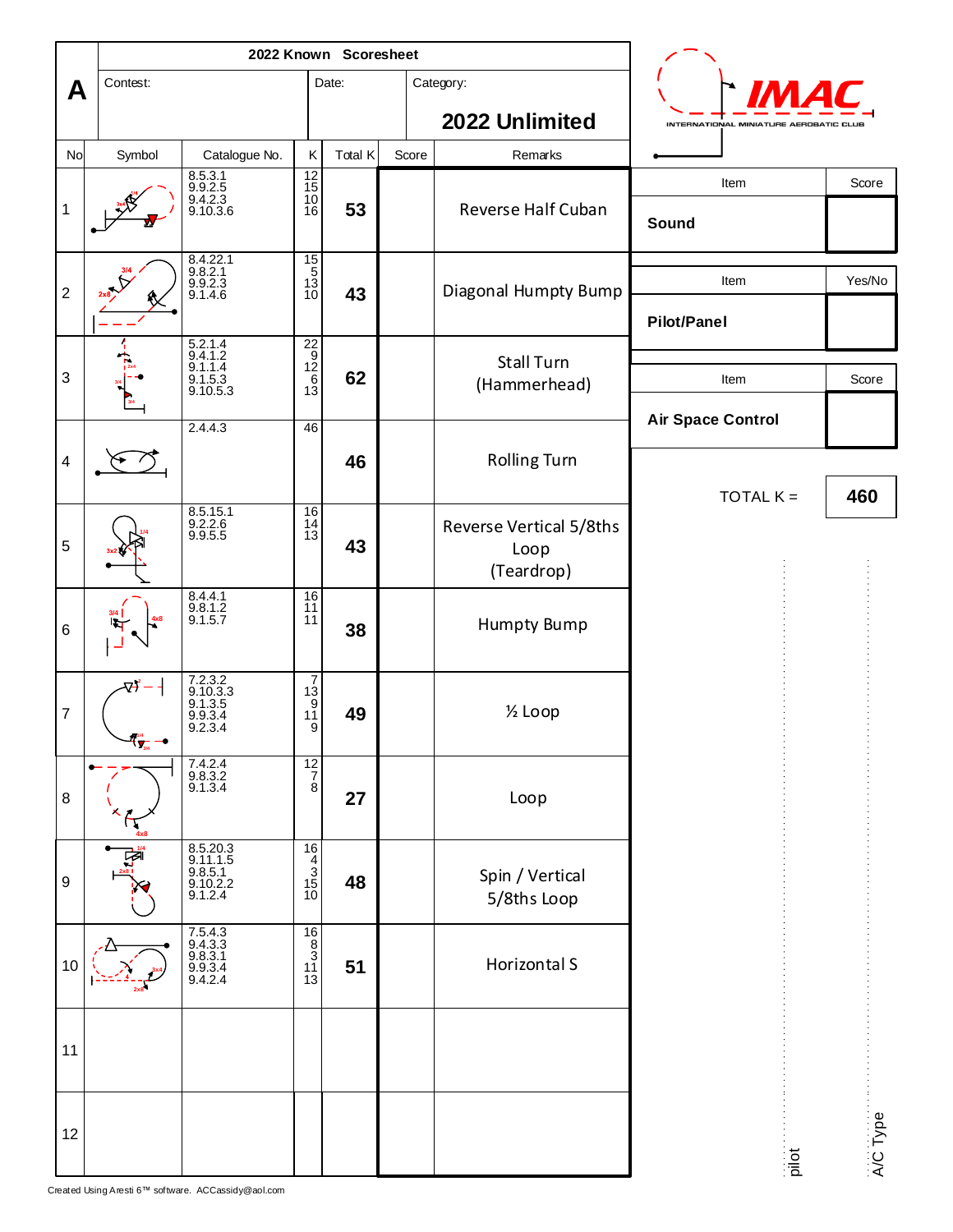|                         |                 | 2022 Known Scoresheet                                  |                                                     |         |       |                                               |                                        |          |
|-------------------------|-----------------|--------------------------------------------------------|-----------------------------------------------------|---------|-------|-----------------------------------------------|----------------------------------------|----------|
| A                       | Contest:        |                                                        |                                                     | Date:   |       | Category:                                     | IM.                                    |          |
|                         |                 |                                                        |                                                     |         |       | 2022 Unlimited                                | INTERNATIONAL MINIATURE AEROBATIC CLUE |          |
| No                      | Symbol          | Catalogue No.                                          | Κ                                                   | Total K | Score | Remarks                                       |                                        |          |
| $\mathbf 1$             |                 | 8.5.3.1<br>9.9.2.5<br>9.4.2.3<br>9.10.3.6              | $\frac{12}{15}$<br>10 <sup>2</sup><br>16            | 53      |       | Reverse Half Cuban                            | Item<br>Sound                          | Score    |
| $\sqrt{2}$              |                 | 8.4.22.1<br>9.8.2.1<br>9.9.2.3<br>9.1.4.6              | $\frac{15}{5}$<br>$\frac{13}{10}$                   | 43      |       | Diagonal Humpty Bump                          | Item<br><b>Pilot/Panel</b>             | Yes/No   |
| 3                       |                 | 5.2.1.4<br>9.4.1.2<br>9.1.1.4<br>$9.1.5.3$<br>9.10.5.3 | $\frac{22}{9}$<br>$\frac{12}{6}$<br>13              | 62      |       | <b>Stall Turn</b><br>(Hammerhead)             | Item                                   | Score    |
| $\overline{\mathbf{4}}$ |                 | 2.4.4.3                                                | 46                                                  | 46      |       | <b>Rolling Turn</b>                           | <b>Air Space Control</b>               |          |
| 5                       |                 | 8.5.15.1<br>$9.2.2.6$<br>9.9.5.5                       | 16<br>$\frac{14}{13}$                               | 43      |       | Reverse Vertical 5/8ths<br>Loop<br>(Teardrop) | TOTAL $K =$                            | 460      |
| 6                       |                 | $8.4.4.1$<br>9.8.1.2<br>9.1.5.7                        | $\begin{array}{c} 16 \\ 11 \end{array}$<br>11       | 38      |       | <b>Humpty Bump</b>                            |                                        |          |
| 7                       | $\frac{1}{3/4}$ | 7.2.3.2<br>9.10.3.3<br>9.1.3.5<br>9.9.3.4<br>9.2.3.4   | $\frac{7}{13}$<br>$\frac{13}{11}$<br>9              | 49      |       | 1/ <sub>2</sub> Loop                          |                                        |          |
| $\,8\,$                 |                 | 7.4.2.4<br>9.8.3.2<br>9.1.3.4                          | $\frac{12}{7}$                                      | 27      |       | Loop                                          |                                        |          |
| 9                       | ☞               | 8.5.20.3<br>9.11.1.5<br>9.8.5.1<br>9.10.2.2<br>9.1.2.4 | $\frac{16}{4}$<br>$\frac{3}{15}$<br>$\frac{15}{10}$ | 48      |       | Spin / Vertical<br>5/8ths Loop                |                                        |          |
| 10                      |                 | 7.5.4.3<br>9.4.3.3<br>9.8.3.1<br>9.9.3.4<br>9.4.2.4    | $\frac{16}{8}$<br>$\frac{3}{11}$<br>$\frac{11}{13}$ | 51      |       | Horizontal S                                  |                                        |          |
| 11                      |                 |                                                        |                                                     |         |       |                                               |                                        |          |
| 12                      |                 |                                                        |                                                     |         |       |                                               | pilot                                  | A/C Type |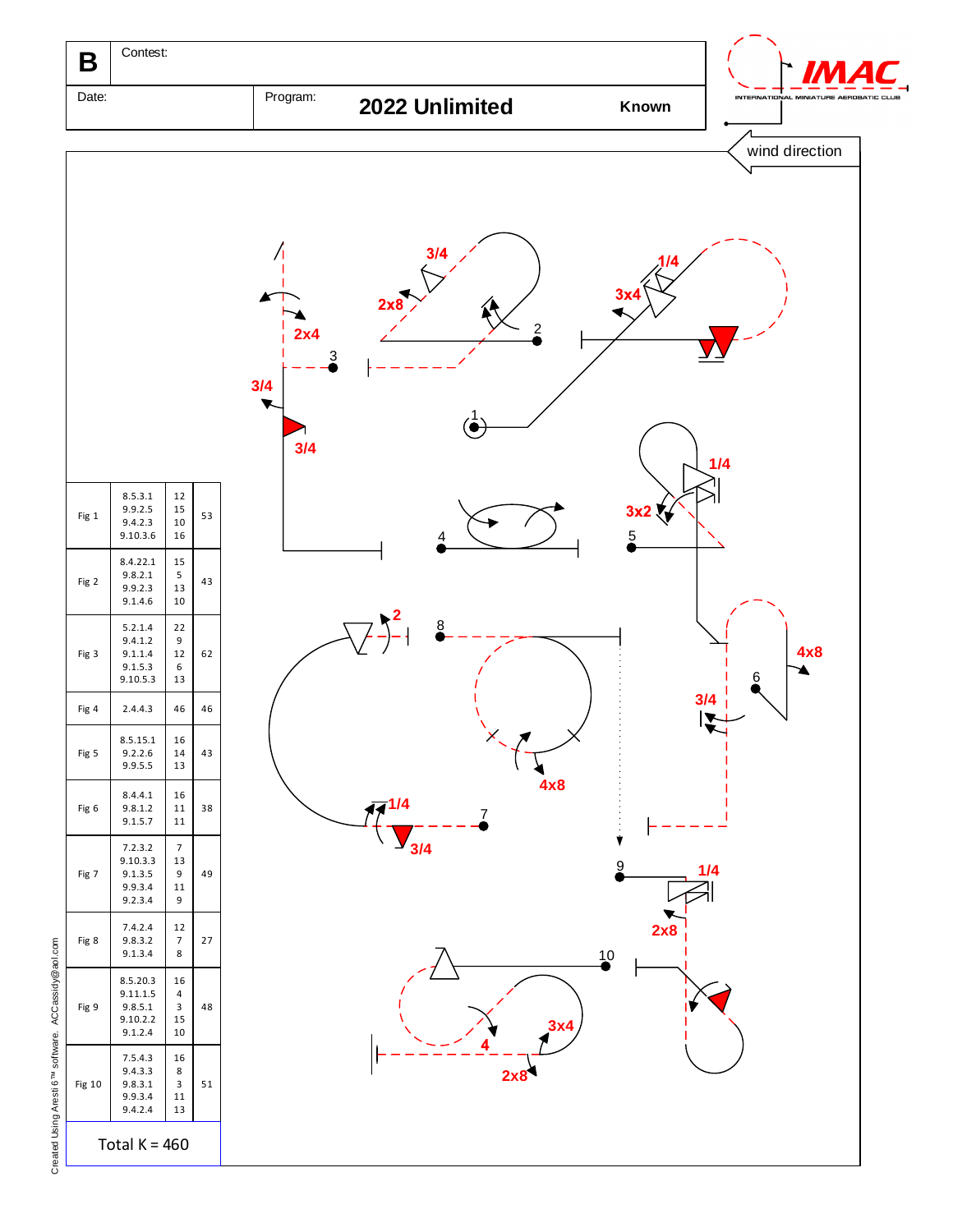

Created Using Aresti 6™ software. ACCassidy Created Using Aresti 6<sup>TM</sup> software. ACCassidy@aol.com